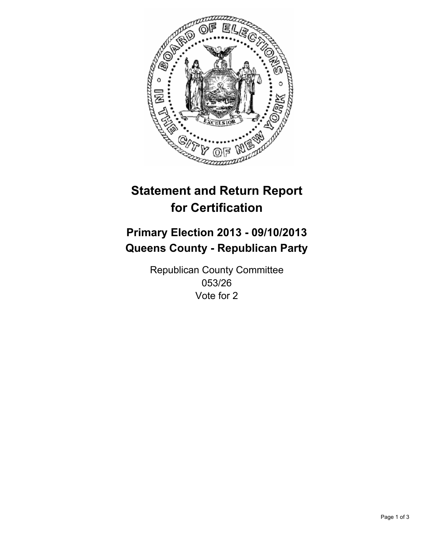

# **Statement and Return Report for Certification**

## **Primary Election 2013 - 09/10/2013 Queens County - Republican Party**

Republican County Committee 053/26 Vote for 2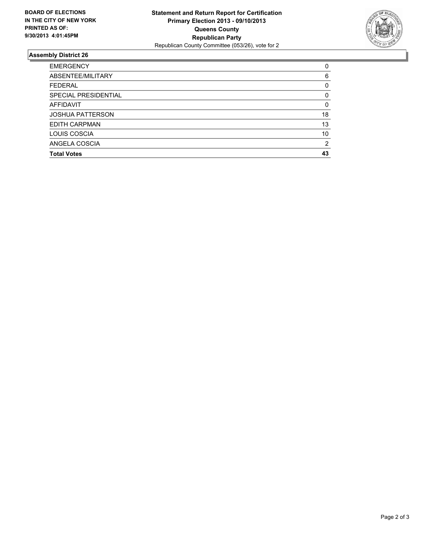

### **Assembly District 26**

| $\Omega$ |
|----------|
| 6        |
| 0        |
| 0        |
| 0        |
| 18       |
| 13       |
| 10       |
| 2        |
| 43       |
|          |